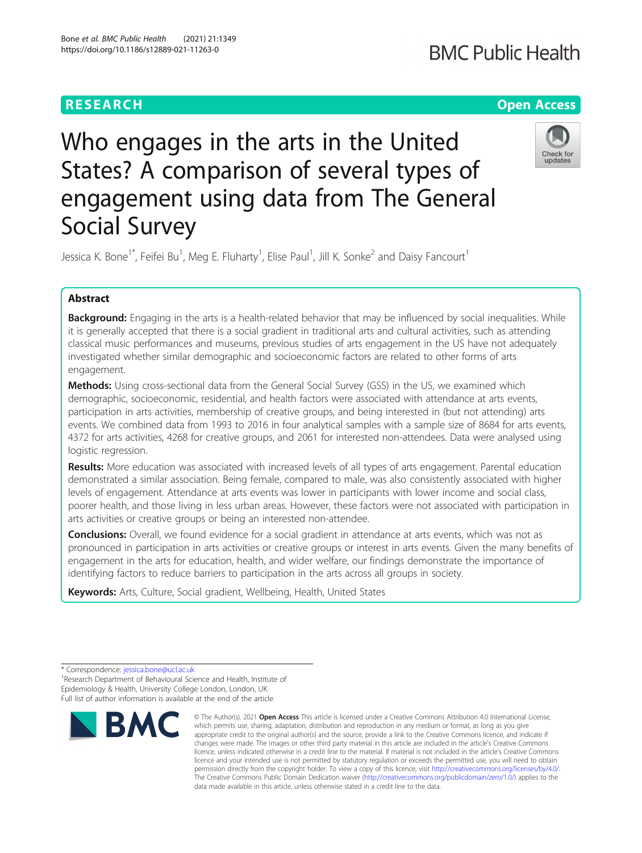### **RESEARCH CHE Open Access**

## **BMC Public Health**

# Who engages in the arts in the United States? A comparison of several types of engagement using data from The General Social Survey



Jessica K. Bone $^{\text{1*}}$ , Feifei Bu<sup>1</sup>, Meg E. Fluharty<sup>1</sup>, Elise Paul<sup>1</sup>, Jill K. Sonke<sup>2</sup> and Daisy Fancourt<sup>1</sup>

#### Abstract

**Background:** Engaging in the arts is a health-related behavior that may be influenced by social inequalities. While it is generally accepted that there is a social gradient in traditional arts and cultural activities, such as attending classical music performances and museums, previous studies of arts engagement in the US have not adequately investigated whether similar demographic and socioeconomic factors are related to other forms of arts engagement.

**Methods:** Using cross-sectional data from the General Social Survey (GSS) in the US, we examined which demographic, socioeconomic, residential, and health factors were associated with attendance at arts events, participation in arts activities, membership of creative groups, and being interested in (but not attending) arts events. We combined data from 1993 to 2016 in four analytical samples with a sample size of 8684 for arts events, 4372 for arts activities, 4268 for creative groups, and 2061 for interested non-attendees. Data were analysed using logistic regression.

Results: More education was associated with increased levels of all types of arts engagement. Parental education demonstrated a similar association. Being female, compared to male, was also consistently associated with higher levels of engagement. Attendance at arts events was lower in participants with lower income and social class, poorer health, and those living in less urban areas. However, these factors were not associated with participation in arts activities or creative groups or being an interested non-attendee.

**Conclusions:** Overall, we found evidence for a social gradient in attendance at arts events, which was not as pronounced in participation in arts activities or creative groups or interest in arts events. Given the many benefits of engagement in the arts for education, health, and wider welfare, our findings demonstrate the importance of identifying factors to reduce barriers to participation in the arts across all groups in society.

Keywords: Arts, Culture, Social gradient, Wellbeing, Health, United States

\* Correspondence: [jessica.bone@ucl.ac.uk](mailto:jessica.bone@ucl.ac.uk) <sup>1</sup>

<sup>1</sup> Research Department of Behavioural Science and Health, Institute of Epidemiology & Health, University College London, London, UK Full list of author information is available at the end of the article



<sup>©</sup> The Author(s), 2021 **Open Access** This article is licensed under a Creative Commons Attribution 4.0 International License, which permits use, sharing, adaptation, distribution and reproduction in any medium or format, as long as you give appropriate credit to the original author(s) and the source, provide a link to the Creative Commons licence, and indicate if changes were made. The images or other third party material in this article are included in the article's Creative Commons licence, unless indicated otherwise in a credit line to the material. If material is not included in the article's Creative Commons licence and your intended use is not permitted by statutory regulation or exceeds the permitted use, you will need to obtain permission directly from the copyright holder. To view a copy of this licence, visit [http://creativecommons.org/licenses/by/4.0/.](http://creativecommons.org/licenses/by/4.0/) The Creative Commons Public Domain Dedication waiver [\(http://creativecommons.org/publicdomain/zero/1.0/](http://creativecommons.org/publicdomain/zero/1.0/)) applies to the data made available in this article, unless otherwise stated in a credit line to the data.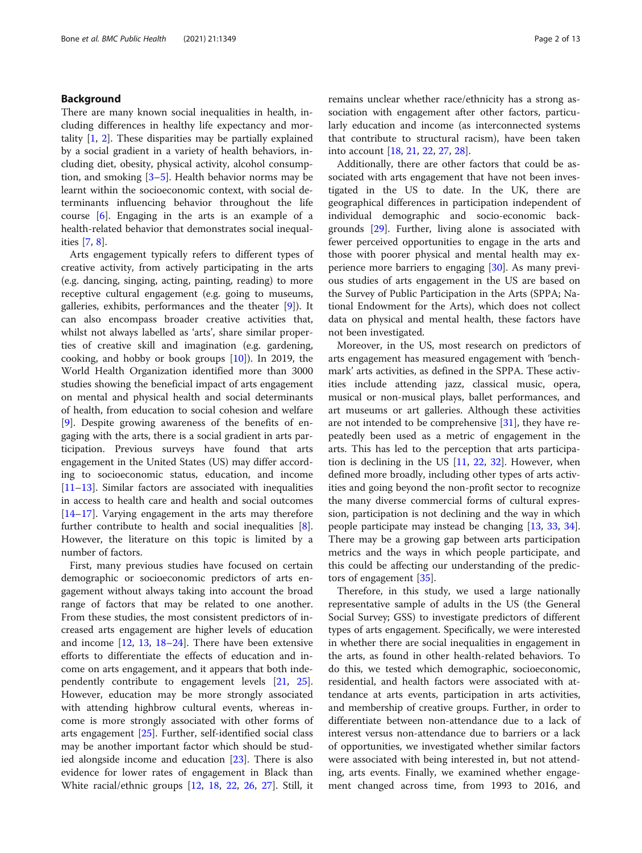#### Background

There are many known social inequalities in health, including differences in healthy life expectancy and mortality [[1,](#page-11-0) [2](#page-11-0)]. These disparities may be partially explained by a social gradient in a variety of health behaviors, including diet, obesity, physical activity, alcohol consumption, and smoking  $[3-5]$  $[3-5]$  $[3-5]$  $[3-5]$ . Health behavior norms may be learnt within the socioeconomic context, with social determinants influencing behavior throughout the life course [\[6](#page-11-0)]. Engaging in the arts is an example of a health-related behavior that demonstrates social inequalities [\[7](#page-11-0), [8](#page-11-0)].

Arts engagement typically refers to different types of creative activity, from actively participating in the arts (e.g. dancing, singing, acting, painting, reading) to more receptive cultural engagement (e.g. going to museums, galleries, exhibits, performances and the theater [\[9](#page-11-0)]). It can also encompass broader creative activities that, whilst not always labelled as 'arts', share similar properties of creative skill and imagination (e.g. gardening, cooking, and hobby or book groups [\[10](#page-11-0)]). In 2019, the World Health Organization identified more than 3000 studies showing the beneficial impact of arts engagement on mental and physical health and social determinants of health, from education to social cohesion and welfare [[9\]](#page-11-0). Despite growing awareness of the benefits of engaging with the arts, there is a social gradient in arts participation. Previous surveys have found that arts engagement in the United States (US) may differ according to socioeconomic status, education, and income [[11](#page-11-0)–[13](#page-11-0)]. Similar factors are associated with inequalities in access to health care and health and social outcomes [[14](#page-11-0)–[17](#page-11-0)]. Varying engagement in the arts may therefore further contribute to health and social inequalities [\[8](#page-11-0)]. However, the literature on this topic is limited by a number of factors.

First, many previous studies have focused on certain demographic or socioeconomic predictors of arts engagement without always taking into account the broad range of factors that may be related to one another. From these studies, the most consistent predictors of increased arts engagement are higher levels of education and income [[12,](#page-11-0) [13](#page-11-0), [18](#page-11-0)–[24\]](#page-11-0). There have been extensive efforts to differentiate the effects of education and income on arts engagement, and it appears that both independently contribute to engagement levels [[21](#page-11-0), [25](#page-11-0)]. However, education may be more strongly associated with attending highbrow cultural events, whereas income is more strongly associated with other forms of arts engagement [\[25\]](#page-11-0). Further, self-identified social class may be another important factor which should be studied alongside income and education [\[23](#page-11-0)]. There is also evidence for lower rates of engagement in Black than White racial/ethnic groups [\[12,](#page-11-0) [18](#page-11-0), [22,](#page-11-0) [26](#page-11-0), [27\]](#page-11-0). Still, it

remains unclear whether race/ethnicity has a strong association with engagement after other factors, particularly education and income (as interconnected systems that contribute to structural racism), have been taken into account [\[18](#page-11-0), [21,](#page-11-0) [22,](#page-11-0) [27,](#page-11-0) [28\]](#page-11-0).

Additionally, there are other factors that could be associated with arts engagement that have not been investigated in the US to date. In the UK, there are geographical differences in participation independent of individual demographic and socio-economic backgrounds [[29\]](#page-11-0). Further, living alone is associated with fewer perceived opportunities to engage in the arts and those with poorer physical and mental health may experience more barriers to engaging [\[30](#page-11-0)]. As many previous studies of arts engagement in the US are based on the Survey of Public Participation in the Arts (SPPA; National Endowment for the Arts), which does not collect data on physical and mental health, these factors have not been investigated.

Moreover, in the US, most research on predictors of arts engagement has measured engagement with 'benchmark' arts activities, as defined in the SPPA. These activities include attending jazz, classical music, opera, musical or non-musical plays, ballet performances, and art museums or art galleries. Although these activities are not intended to be comprehensive [[31\]](#page-11-0), they have repeatedly been used as a metric of engagement in the arts. This has led to the perception that arts participation is declining in the US [[11](#page-11-0), [22](#page-11-0), [32\]](#page-11-0). However, when defined more broadly, including other types of arts activities and going beyond the non-profit sector to recognize the many diverse commercial forms of cultural expression, participation is not declining and the way in which people participate may instead be changing [\[13](#page-11-0), [33,](#page-11-0) [34](#page-11-0)]. There may be a growing gap between arts participation metrics and the ways in which people participate, and this could be affecting our understanding of the predictors of engagement [[35](#page-11-0)].

Therefore, in this study, we used a large nationally representative sample of adults in the US (the General Social Survey; GSS) to investigate predictors of different types of arts engagement. Specifically, we were interested in whether there are social inequalities in engagement in the arts, as found in other health-related behaviors. To do this, we tested which demographic, socioeconomic, residential, and health factors were associated with attendance at arts events, participation in arts activities, and membership of creative groups. Further, in order to differentiate between non-attendance due to a lack of interest versus non-attendance due to barriers or a lack of opportunities, we investigated whether similar factors were associated with being interested in, but not attending, arts events. Finally, we examined whether engagement changed across time, from 1993 to 2016, and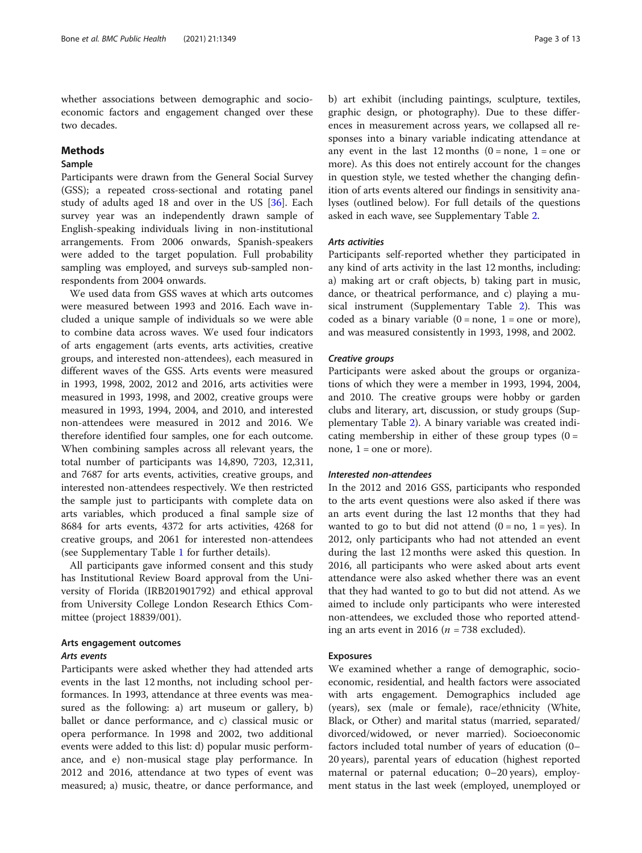whether associations between demographic and socioeconomic factors and engagement changed over these two decades.

#### **Methods**

#### Sample

Participants were drawn from the General Social Survey (GSS); a repeated cross-sectional and rotating panel study of adults aged 18 and over in the US [\[36](#page-11-0)]. Each survey year was an independently drawn sample of English-speaking individuals living in non-institutional arrangements. From 2006 onwards, Spanish-speakers were added to the target population. Full probability sampling was employed, and surveys sub-sampled nonrespondents from 2004 onwards.

We used data from GSS waves at which arts outcomes were measured between 1993 and 2016. Each wave included a unique sample of individuals so we were able to combine data across waves. We used four indicators of arts engagement (arts events, arts activities, creative groups, and interested non-attendees), each measured in different waves of the GSS. Arts events were measured in 1993, 1998, 2002, 2012 and 2016, arts activities were measured in 1993, 1998, and 2002, creative groups were measured in 1993, 1994, 2004, and 2010, and interested non-attendees were measured in 2012 and 2016. We therefore identified four samples, one for each outcome. When combining samples across all relevant years, the total number of participants was 14,890, 7203, 12,311, and 7687 for arts events, activities, creative groups, and interested non-attendees respectively. We then restricted the sample just to participants with complete data on arts variables, which produced a final sample size of 8684 for arts events, 4372 for arts activities, 4268 for creative groups, and 2061 for interested non-attendees (see Supplementary Table [1](#page-10-0) for further details).

All participants gave informed consent and this study has Institutional Review Board approval from the University of Florida (IRB201901792) and ethical approval from University College London Research Ethics Committee (project 18839/001).

#### Arts engagement outcomes Arts events

Participants were asked whether they had attended arts events in the last 12 months, not including school performances. In 1993, attendance at three events was measured as the following: a) art museum or gallery, b) ballet or dance performance, and c) classical music or opera performance. In 1998 and 2002, two additional events were added to this list: d) popular music performance, and e) non-musical stage play performance. In 2012 and 2016, attendance at two types of event was measured; a) music, theatre, or dance performance, and b) art exhibit (including paintings, sculpture, textiles, graphic design, or photography). Due to these differences in measurement across years, we collapsed all responses into a binary variable indicating attendance at any event in the last 12 months  $(0 = none, 1 = one or)$ more). As this does not entirely account for the changes in question style, we tested whether the changing definition of arts events altered our findings in sensitivity analyses (outlined below). For full details of the questions asked in each wave, see Supplementary Table [2.](#page-10-0)

#### Arts activities

Participants self-reported whether they participated in any kind of arts activity in the last 12 months, including: a) making art or craft objects, b) taking part in music, dance, or theatrical performance, and c) playing a musical instrument (Supplementary Table [2\)](#page-10-0). This was coded as a binary variable  $(0 = none, 1 = one or more)$ , and was measured consistently in 1993, 1998, and 2002.

#### Creative groups

Participants were asked about the groups or organizations of which they were a member in 1993, 1994, 2004, and 2010. The creative groups were hobby or garden clubs and literary, art, discussion, or study groups (Supplementary Table [2](#page-10-0)). A binary variable was created indicating membership in either of these group types  $(0 =$ none,  $1 =$ one or more).

#### Interested non-attendees

In the 2012 and 2016 GSS, participants who responded to the arts event questions were also asked if there was an arts event during the last 12 months that they had wanted to go to but did not attend  $(0 = no, 1 = yes)$ . In 2012, only participants who had not attended an event during the last 12 months were asked this question. In 2016, all participants who were asked about arts event attendance were also asked whether there was an event that they had wanted to go to but did not attend. As we aimed to include only participants who were interested non-attendees, we excluded those who reported attending an arts event in 2016 ( $n = 738$  excluded).

#### Exposures

We examined whether a range of demographic, socioeconomic, residential, and health factors were associated with arts engagement. Demographics included age (years), sex (male or female), race/ethnicity (White, Black, or Other) and marital status (married, separated/ divorced/widowed, or never married). Socioeconomic factors included total number of years of education (0– 20 years), parental years of education (highest reported maternal or paternal education; 0–20 years), employment status in the last week (employed, unemployed or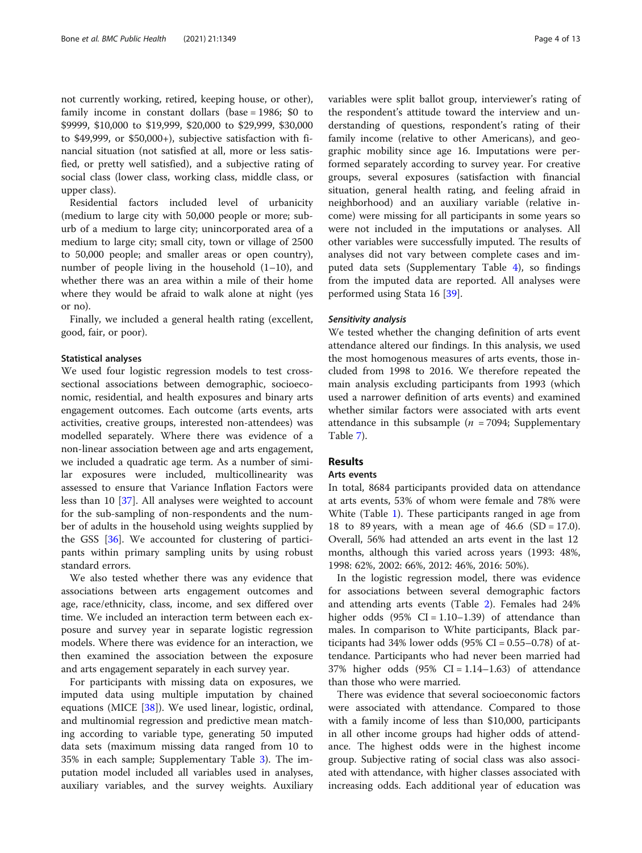not currently working, retired, keeping house, or other), family income in constant dollars (base = 1986; \$0 to \$9999, \$10,000 to \$19,999, \$20,000 to \$29,999, \$30,000 to \$49,999, or \$50,000+), subjective satisfaction with financial situation (not satisfied at all, more or less satisfied, or pretty well satisfied), and a subjective rating of social class (lower class, working class, middle class, or upper class).

Residential factors included level of urbanicity (medium to large city with 50,000 people or more; suburb of a medium to large city; unincorporated area of a medium to large city; small city, town or village of 2500 to 50,000 people; and smaller areas or open country), number of people living in the household (1–10), and whether there was an area within a mile of their home where they would be afraid to walk alone at night (yes or no).

Finally, we included a general health rating (excellent, good, fair, or poor).

#### Statistical analyses

We used four logistic regression models to test crosssectional associations between demographic, socioeconomic, residential, and health exposures and binary arts engagement outcomes. Each outcome (arts events, arts activities, creative groups, interested non-attendees) was modelled separately. Where there was evidence of a non-linear association between age and arts engagement, we included a quadratic age term. As a number of similar exposures were included, multicollinearity was assessed to ensure that Variance Inflation Factors were less than 10 [[37\]](#page-11-0). All analyses were weighted to account for the sub-sampling of non-respondents and the number of adults in the household using weights supplied by the GSS [\[36\]](#page-11-0). We accounted for clustering of participants within primary sampling units by using robust standard errors.

We also tested whether there was any evidence that associations between arts engagement outcomes and age, race/ethnicity, class, income, and sex differed over time. We included an interaction term between each exposure and survey year in separate logistic regression models. Where there was evidence for an interaction, we then examined the association between the exposure and arts engagement separately in each survey year.

For participants with missing data on exposures, we imputed data using multiple imputation by chained equations (MICE [\[38\]](#page-11-0)). We used linear, logistic, ordinal, and multinomial regression and predictive mean matching according to variable type, generating 50 imputed data sets (maximum missing data ranged from 10 to 35% in each sample; Supplementary Table [3\)](#page-10-0). The imputation model included all variables used in analyses, auxiliary variables, and the survey weights. Auxiliary variables were split ballot group, interviewer's rating of the respondent's attitude toward the interview and understanding of questions, respondent's rating of their family income (relative to other Americans), and geographic mobility since age 16. Imputations were performed separately according to survey year. For creative groups, several exposures (satisfaction with financial situation, general health rating, and feeling afraid in neighborhood) and an auxiliary variable (relative income) were missing for all participants in some years so were not included in the imputations or analyses. All other variables were successfully imputed. The results of analyses did not vary between complete cases and imputed data sets (Supplementary Table [4\)](#page-10-0), so findings from the imputed data are reported. All analyses were performed using Stata 16 [\[39\]](#page-11-0).

#### Sensitivity analysis

We tested whether the changing definition of arts event attendance altered our findings. In this analysis, we used the most homogenous measures of arts events, those included from 1998 to 2016. We therefore repeated the main analysis excluding participants from 1993 (which used a narrower definition of arts events) and examined whether similar factors were associated with arts event attendance in this subsample ( $n = 7094$ ; Supplementary Table [7\)](#page-10-0).

#### Results

#### Arts events

In total, 8684 participants provided data on attendance at arts events, 53% of whom were female and 78% were White (Table [1\)](#page-4-0). These participants ranged in age from 18 to 89 years, with a mean age of  $46.6$  (SD = 17.0). Overall, 56% had attended an arts event in the last 12 months, although this varied across years (1993: 48%, 1998: 62%, 2002: 66%, 2012: 46%, 2016: 50%).

In the logistic regression model, there was evidence for associations between several demographic factors and attending arts events (Table [2](#page-6-0)). Females had 24% higher odds  $(95\% \text{ CI} = 1.10 - 1.39)$  of attendance than males. In comparison to White participants, Black participants had 34% lower odds  $(95\% \text{ CI} = 0.55-0.78)$  of attendance. Participants who had never been married had 37% higher odds  $(95\% \text{ CI} = 1.14 - 1.63)$  of attendance than those who were married.

There was evidence that several socioeconomic factors were associated with attendance. Compared to those with a family income of less than \$10,000, participants in all other income groups had higher odds of attendance. The highest odds were in the highest income group. Subjective rating of social class was also associated with attendance, with higher classes associated with increasing odds. Each additional year of education was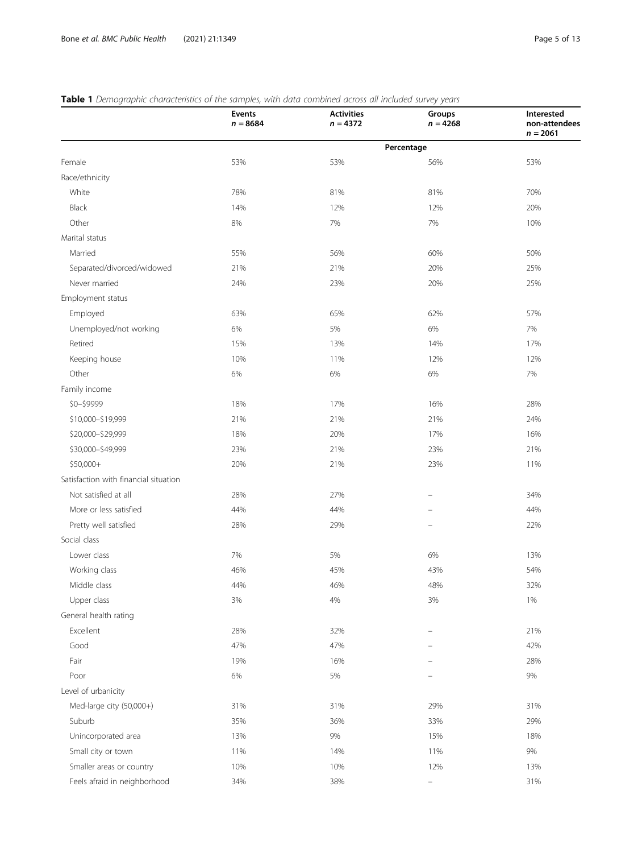|                                       | <b>Events</b><br>$n = 8684$ | <b>Activities</b><br>$n = 4372$ | Groups<br>$n = 4268$ | Interested<br>non-attendees<br>$n = 2061$ |
|---------------------------------------|-----------------------------|---------------------------------|----------------------|-------------------------------------------|
|                                       |                             |                                 | Percentage           |                                           |
| Female                                | 53%                         | 53%                             | 56%                  | 53%                                       |
| Race/ethnicity                        |                             |                                 |                      |                                           |
| White                                 | 78%                         | 81%                             | 81%                  | 70%                                       |
| Black                                 | 14%                         | 12%                             | 12%                  | 20%                                       |
| Other                                 | 8%                          | 7%                              | 7%                   | 10%                                       |
| Marital status                        |                             |                                 |                      |                                           |
| Married                               | 55%                         | 56%                             | 60%                  | 50%                                       |
| Separated/divorced/widowed            | 21%                         | 21%                             | 20%                  | 25%                                       |
| Never married                         | 24%                         | 23%                             | 20%                  | 25%                                       |
| Employment status                     |                             |                                 |                      |                                           |
| Employed                              | 63%                         | 65%                             | 62%                  | 57%                                       |
| Unemployed/not working                | 6%                          | 5%                              | 6%                   | 7%                                        |
| Retired                               | 15%                         | 13%                             | 14%                  | 17%                                       |
| Keeping house                         | 10%                         | 11%                             | 12%                  | 12%                                       |
| Other                                 | 6%                          | 6%                              | 6%                   | 7%                                        |
| Family income                         |                             |                                 |                      |                                           |
| \$0-\$9999                            | 18%                         | 17%                             | 16%                  | 28%                                       |
| \$10,000-\$19,999                     | 21%                         | 21%                             | 21%                  | 24%                                       |
| \$20,000-\$29,999                     | 18%                         | 20%                             | 17%                  | 16%                                       |
| \$30,000-\$49,999                     | 23%                         | 21%                             | 23%                  | 21%                                       |
| \$50,000+                             | 20%                         | 21%                             | 23%                  | 11%                                       |
| Satisfaction with financial situation |                             |                                 |                      |                                           |
| Not satisfied at all                  | 28%                         | 27%                             |                      | 34%                                       |
| More or less satisfied                | 44%                         | 44%                             |                      | 44%                                       |
| Pretty well satisfied                 | 28%                         | 29%                             |                      | 22%                                       |
| Social class                          |                             |                                 |                      |                                           |
| Lower class                           | 7%                          | 5%                              | 6%                   | 13%                                       |
| Working class                         | 46%                         | 45%                             | 43%                  | 54%                                       |
| Middle class                          | 44%                         | 46%                             | 48%                  | 32%                                       |
| Upper class                           | 3%                          | 4%                              | 3%                   | 1%                                        |
| General health rating                 |                             |                                 |                      |                                           |
| Excellent                             | 28%                         | 32%                             |                      | 21%                                       |
| Good                                  | 47%                         | 47%                             |                      | 42%                                       |
| Fair                                  | 19%                         | 16%                             |                      | 28%                                       |
| Poor                                  | $6\%$                       | 5%                              |                      | $9\%$                                     |
| Level of urbanicity                   |                             |                                 |                      |                                           |
| Med-large city (50,000+)              | 31%                         | 31%                             | 29%                  | 31%                                       |
| Suburb                                | 35%                         | 36%                             | 33%                  | 29%                                       |
| Unincorporated area                   | 13%                         | 9%                              | 15%                  | 18%                                       |
| Small city or town                    | 11%                         | 14%                             | 11%                  | $9\%$                                     |
| Smaller areas or country              | 10%                         | 10%                             | 12%                  | 13%                                       |
| Feels afraid in neighborhood          | 34%                         | 38%                             |                      | 31%                                       |

#### <span id="page-4-0"></span>Table 1 Demographic characteristics of the samples, with data combined across all included survey years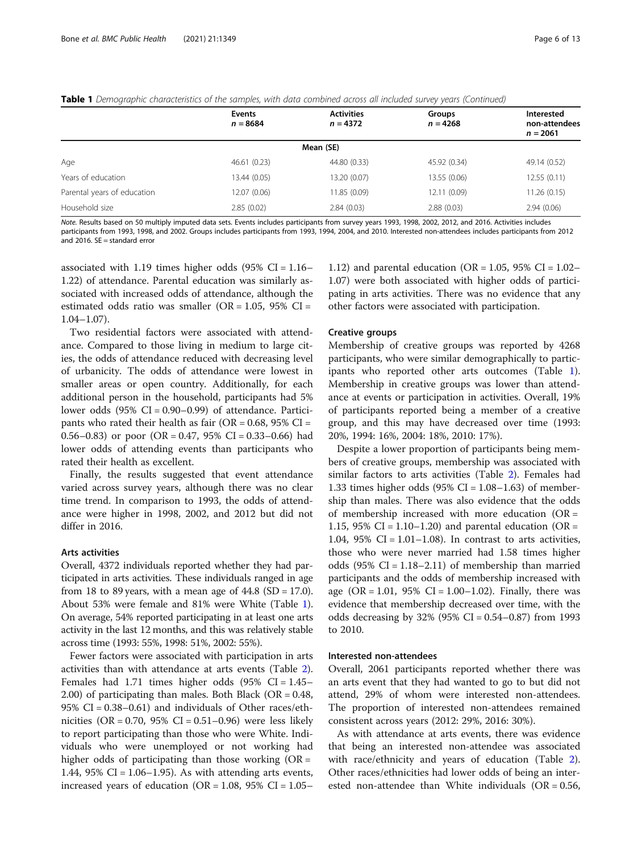|  |  |  |  | Table 1 Demographic characteristics of the samples, with data combined across all included survey years (Continued) |  |
|--|--|--|--|---------------------------------------------------------------------------------------------------------------------|--|
|--|--|--|--|---------------------------------------------------------------------------------------------------------------------|--|

|                             | Events<br>$n = 8684$ | <b>Activities</b><br>$n = 4372$ | Groups<br>$n = 4268$ | <b>Interested</b><br>non-attendees<br>$n = 2061$ |
|-----------------------------|----------------------|---------------------------------|----------------------|--------------------------------------------------|
|                             |                      | Mean (SE)                       |                      |                                                  |
| Age                         | 46.61 (0.23)         | 44.80 (0.33)                    | 45.92 (0.34)         | 49.14 (0.52)                                     |
| Years of education          | 13.44 (0.05)         | 13.20 (0.07)                    | 13.55 (0.06)         | 12.55(0.11)                                      |
| Parental years of education | 12.07 (0.06)         | 11.85 (0.09)                    | 12.11 (0.09)         | 11.26 (0.15)                                     |
| Household size              | 2.85(0.02)           | 2.84(0.03)                      | 2.88(0.03)           | 2.94(0.06)                                       |

Note. Results based on 50 multiply imputed data sets. Events includes participants from survey years 1993, 1998, 2002, 2012, and 2016. Activities includes participants from 1993, 1998, and 2002. Groups includes participants from 1993, 1994, 2004, and 2010. Interested non-attendees includes participants from 2012 and 2016.  $SE = standard error$ 

associated with 1.19 times higher odds  $(95\% \text{ CI} = 1.16-$ 1.22) of attendance. Parental education was similarly associated with increased odds of attendance, although the estimated odds ratio was smaller (OR =  $1.05$ , 95% CI = 1.04–1.07).

Two residential factors were associated with attendance. Compared to those living in medium to large cities, the odds of attendance reduced with decreasing level of urbanicity. The odds of attendance were lowest in smaller areas or open country. Additionally, for each additional person in the household, participants had 5% lower odds  $(95\% \text{ CI} = 0.90{\text -}0.99)$  of attendance. Participants who rated their health as fair ( $OR = 0.68$ , 95%  $CI =$ 0.56–0.83) or poor  $(OR = 0.47, 95\% \text{ CI} = 0.33$ –0.66) had lower odds of attending events than participants who rated their health as excellent.

Finally, the results suggested that event attendance varied across survey years, although there was no clear time trend. In comparison to 1993, the odds of attendance were higher in 1998, 2002, and 2012 but did not differ in 2016.

#### Arts activities

Overall, 4372 individuals reported whether they had participated in arts activities. These individuals ranged in age from 18 to 89 years, with a mean age of  $44.8$  (SD = 17.0). About 53% were female and 81% were White (Table [1](#page-4-0)). On average, 54% reported participating in at least one arts activity in the last 12 months, and this was relatively stable across time (1993: 55%, 1998: 51%, 2002: 55%).

Fewer factors were associated with participation in arts activities than with attendance at arts events (Table [2](#page-6-0)). Females had 1.71 times higher odds  $(95\% \text{ CI} = 1.45 -$ 2.00) of participating than males. Both Black (OR = 0.48, 95%  $CI = 0.38 - 0.61$ ) and individuals of Other races/ethnicities (OR = 0.70, 95% CI = 0.51–0.96) were less likely to report participating than those who were White. Individuals who were unemployed or not working had higher odds of participating than those working  $(OR =$ 1.44, 95% CI =  $1.06-1.95$ ). As with attending arts events, increased years of education ( $OR = 1.08$ , 95%  $CI = 1.05$ –

1.12) and parental education (OR = 1.05, 95% CI =  $1.02-$ 1.07) were both associated with higher odds of participating in arts activities. There was no evidence that any other factors were associated with participation.

#### Creative groups

Membership of creative groups was reported by 4268 participants, who were similar demographically to participants who reported other arts outcomes (Table [1](#page-4-0)). Membership in creative groups was lower than attendance at events or participation in activities. Overall, 19% of participants reported being a member of a creative group, and this may have decreased over time (1993: 20%, 1994: 16%, 2004: 18%, 2010: 17%).

Despite a lower proportion of participants being members of creative groups, membership was associated with similar factors to arts activities (Table [2\)](#page-6-0). Females had 1.33 times higher odds  $(95\% \text{ CI} = 1.08-1.63)$  of membership than males. There was also evidence that the odds of membership increased with more education  $(OR =$ 1.15, 95% CI = 1.10–1.20) and parental education (OR = 1.04,  $95\%$  CI = 1.01–1.08). In contrast to arts activities, those who were never married had 1.58 times higher odds  $(95\% \text{ CI} = 1.18 - 2.11)$  of membership than married participants and the odds of membership increased with age  $(OR = 1.01, 95\% \text{ CI} = 1.00 - 1.02)$ . Finally, there was evidence that membership decreased over time, with the odds decreasing by 32% (95% CI = 0.54–0.87) from 1993 to 2010.

#### Interested non-attendees

Overall, 2061 participants reported whether there was an arts event that they had wanted to go to but did not attend, 29% of whom were interested non-attendees. The proportion of interested non-attendees remained consistent across years (2012: 29%, 2016: 30%).

As with attendance at arts events, there was evidence that being an interested non-attendee was associated with race/ethnicity and years of education (Table [2](#page-6-0)). Other races/ethnicities had lower odds of being an interested non-attendee than White individuals ( $OR = 0.56$ ,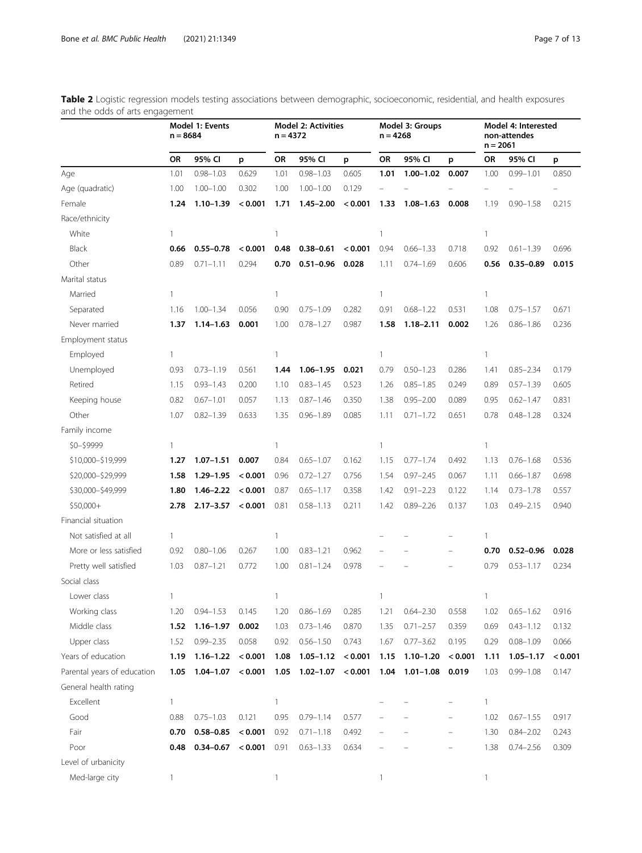|                             | Model 1: Events<br>$n = 8684$ |               | <b>Model 2: Activities</b><br>$n = 4372$ |              |               | Model 3: Groups<br>$n = 4268$ |                          |               | Model 4: Interested<br>non-attendes<br>$n = 2061$ |                          |               |                          |
|-----------------------------|-------------------------------|---------------|------------------------------------------|--------------|---------------|-------------------------------|--------------------------|---------------|---------------------------------------------------|--------------------------|---------------|--------------------------|
|                             | OR                            | 95% CI        | p                                        | OR           | 95% CI        | p                             | OR                       | 95% CI        | p                                                 | OR                       | 95% CI        | p                        |
| Age                         | 1.01                          | $0.98 - 1.03$ | 0.629                                    | 1.01         | $0.98 - 1.03$ | 0.605                         | 1.01                     | $1.00 - 1.02$ | 0.007                                             | 1.00                     | $0.99 - 1.01$ | 0.850                    |
| Age (quadratic)             | 1.00                          | $1.00 - 1.00$ | 0.302                                    | 1.00         | $1.00 - 1.00$ | 0.129                         | $\qquad \qquad -$        |               |                                                   | $\overline{\phantom{0}}$ |               | $\overline{\phantom{0}}$ |
| Female                      | 1.24                          | $1.10 - 1.39$ | < 0.001                                  | 1.71         | $1.45 - 2.00$ | < 0.001                       | 1.33                     | $1.08 - 1.63$ | 0.008                                             | 1.19                     | $0.90 - 1.58$ | 0.215                    |
| Race/ethnicity              |                               |               |                                          |              |               |                               |                          |               |                                                   |                          |               |                          |
| White                       | 1                             |               |                                          | $\mathbf{1}$ |               |                               | 1                        |               |                                                   | $\mathbf{1}$             |               |                          |
| Black                       | 0.66                          | $0.55 - 0.78$ | < 0.001                                  | 0.48         | $0.38 - 0.61$ | < 0.001                       | 0.94                     | $0.66 - 1.33$ | 0.718                                             | 0.92                     | $0.61 - 1.39$ | 0.696                    |
| Other                       | 0.89                          | $0.71 - 1.11$ | 0.294                                    | 0.70         | $0.51 - 0.96$ | 0.028                         | 1.11                     | $0.74 - 1.69$ | 0.606                                             | 0.56                     | $0.35 - 0.89$ | 0.015                    |
| Marital status              |                               |               |                                          |              |               |                               |                          |               |                                                   |                          |               |                          |
| Married                     | 1                             |               |                                          | $\mathbf{1}$ |               |                               | 1                        |               |                                                   | 1                        |               |                          |
| Separated                   | 1.16                          | $1.00 - 1.34$ | 0.056                                    | 0.90         | $0.75 - 1.09$ | 0.282                         | 0.91                     | $0.68 - 1.22$ | 0.531                                             | 1.08                     | $0.75 - 1.57$ | 0.671                    |
| Never married               | 1.37                          | $1.14 - 1.63$ | 0.001                                    | 1.00         | $0.78 - 1.27$ | 0.987                         | 1.58                     | $1.18 - 2.11$ | 0.002                                             | 1.26                     | $0.86 - 1.86$ | 0.236                    |
| Employment status           |                               |               |                                          |              |               |                               |                          |               |                                                   |                          |               |                          |
| Employed                    | 1                             |               |                                          | 1            |               |                               | 1                        |               |                                                   | 1                        |               |                          |
| Unemployed                  | 0.93                          | $0.73 - 1.19$ | 0.561                                    | 1.44         | $1.06 - 1.95$ | 0.021                         | 0.79                     | $0.50 - 1.23$ | 0.286                                             | 1.41                     | $0.85 - 2.34$ | 0.179                    |
| Retired                     | 1.15                          | $0.93 - 1.43$ | 0.200                                    | 1.10         | $0.83 - 1.45$ | 0.523                         | 1.26                     | $0.85 - 1.85$ | 0.249                                             | 0.89                     | $0.57 - 1.39$ | 0.605                    |
| Keeping house               | 0.82                          | $0.67 - 1.01$ | 0.057                                    | 1.13         | $0.87 - 1.46$ | 0.350                         | 1.38                     | $0.95 - 2.00$ | 0.089                                             | 0.95                     | $0.62 - 1.47$ | 0.831                    |
| Other                       | 1.07                          | $0.82 - 1.39$ | 0.633                                    | 1.35         | $0.96 - 1.89$ | 0.085                         | 1.11                     | $0.71 - 1.72$ | 0.651                                             | 0.78                     | $0.48 - 1.28$ | 0.324                    |
| Family income               |                               |               |                                          |              |               |                               |                          |               |                                                   |                          |               |                          |
| \$0-\$9999                  | 1                             |               |                                          | $\mathbf{1}$ |               |                               | 1                        |               |                                                   | 1                        |               |                          |
| \$10,000-\$19,999           | 1.27                          | $1.07 - 1.51$ | 0.007                                    | 0.84         | $0.65 - 1.07$ | 0.162                         | 1.15                     | $0.77 - 1.74$ | 0.492                                             | 1.13                     | $0.76 - 1.68$ | 0.536                    |
| \$20,000-\$29,999           | 1.58                          | 1.29-1.95     | < 0.001                                  | 0.96         | $0.72 - 1.27$ | 0.756                         | 1.54                     | $0.97 - 2.45$ | 0.067                                             | 1.11                     | $0.66 - 1.87$ | 0.698                    |
| \$30,000-\$49,999           | 1.80                          | $1.46 - 2.22$ | < 0.001                                  | 0.87         | $0.65 - 1.17$ | 0.358                         | 1.42                     | $0.91 - 2.23$ | 0.122                                             | 1.14                     | $0.73 - 1.78$ | 0.557                    |
| \$50,000+                   | 2.78                          | $2.17 - 3.57$ | < 0.001                                  | 0.81         | $0.58 - 1.13$ | 0.211                         | 1.42                     | $0.89 - 2.26$ | 0.137                                             | 1.03                     | $0.49 - 2.15$ | 0.940                    |
| Financial situation         |                               |               |                                          |              |               |                               |                          |               |                                                   |                          |               |                          |
| Not satisfied at all        | 1                             |               |                                          | 1            |               |                               |                          |               |                                                   | 1                        |               |                          |
| More or less satisfied      | 0.92                          | $0.80 - 1.06$ | 0.267                                    | 1.00         | $0.83 - 1.21$ | 0.962                         | $\overline{\phantom{0}}$ |               | $\overline{\phantom{0}}$                          | 0.70                     | $0.52 - 0.96$ | 0.028                    |
| Pretty well satisfied       | 1.03                          | $0.87 - 1.21$ | 0.772                                    | 1.00         | $0.81 - 1.24$ | 0.978                         | $\overline{a}$           |               |                                                   | 0.79                     | $0.53 - 1.17$ | 0.234                    |
| Social class                |                               |               |                                          |              |               |                               |                          |               |                                                   |                          |               |                          |
| Lower class                 | 1                             |               |                                          | 1            |               |                               | 1                        |               |                                                   | 1                        |               |                          |
| Working class               | 1.20                          | $0.94 - 1.53$ | 0.145                                    | 1.20         | $0.86 - 1.69$ | 0.285                         | 1.21                     | $0.64 - 2.30$ | 0.558                                             | 1.02                     | $0.65 - 1.62$ | 0.916                    |
| Middle class                | 1.52                          | $1.16 - 1.97$ | 0.002                                    | 1.03         | $0.73 - 1.46$ | 0.870                         | 1.35                     | $0.71 - 2.57$ | 0.359                                             | 0.69                     | $0.43 - 1.12$ | 0.132                    |
| Upper class                 | 1.52                          | $0.99 - 2.35$ | 0.058                                    | 0.92         | $0.56 - 1.50$ | 0.743                         | 1.67                     | $0.77 - 3.62$ | 0.195                                             | 0.29                     | $0.08 - 1.09$ | 0.066                    |
| Years of education          | 1.19                          | $1.16 - 1.22$ | < 0.001                                  | 1.08         | $1.05 - 1.12$ | < 0.001                       | 1.15                     | $1.10 - 1.20$ | < 0.001                                           | 1.11                     | $1.05 - 1.17$ | < 0.001                  |
| Parental years of education | 1.05                          | $1.04 - 1.07$ | < 0.001                                  | 1.05         | $1.02 - 1.07$ | < 0.001                       | 1.04                     | $1.01 - 1.08$ | 0.019                                             | 1.03                     | $0.99 - 1.08$ | 0.147                    |
| General health rating       |                               |               |                                          |              |               |                               |                          |               |                                                   |                          |               |                          |
| Excellent                   | 1                             |               |                                          | $\mathbf{1}$ |               |                               |                          |               |                                                   | 1                        |               |                          |
| Good                        | 0.88                          | $0.75 - 1.03$ | 0.121                                    | 0.95         | $0.79 - 1.14$ | 0.577                         |                          |               |                                                   | 1.02                     | $0.67 - 1.55$ | 0.917                    |
| Fair                        | 0.70                          | $0.58 - 0.85$ | < 0.001                                  | 0.92         | $0.71 - 1.18$ | 0.492                         |                          |               | -                                                 | 1.30                     | $0.84 - 2.02$ | 0.243                    |
| Poor                        | 0.48                          | $0.34 - 0.67$ | < 0.001                                  | 0.91         | $0.63 - 1.33$ | 0.634                         |                          |               | -                                                 | 1.38                     | $0.74 - 2.56$ | 0.309                    |
| Level of urbanicity         |                               |               |                                          |              |               |                               |                          |               |                                                   |                          |               |                          |
| Med-large city              | 1                             |               |                                          | $\mathbf{1}$ |               |                               | 1                        |               |                                                   | 1                        |               |                          |

<span id="page-6-0"></span>Table 2 Logistic regression models testing associations between demographic, socioeconomic, residential, and health exposures and the odds of arts engagement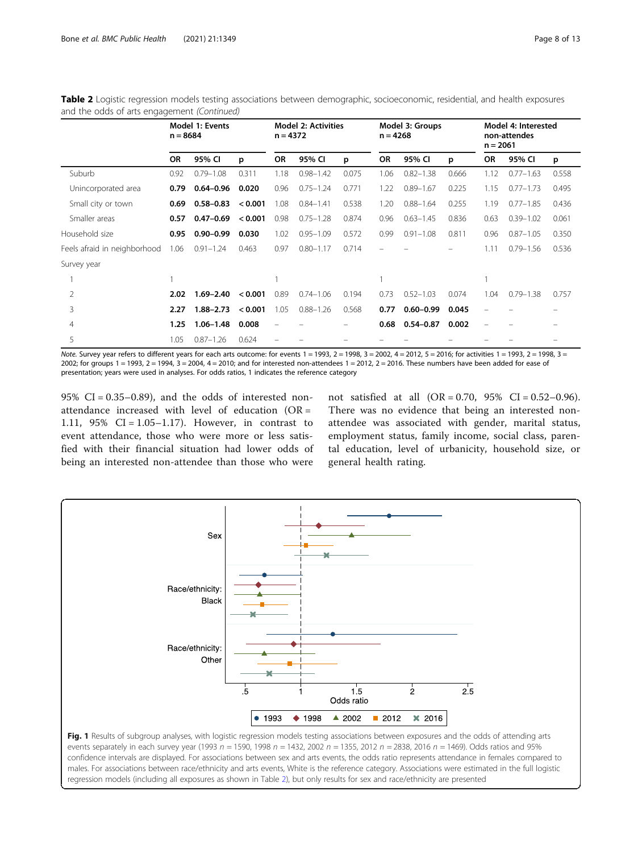|                              | Model 1: Events<br>$n = 8684$ |               | <b>Model 2: Activities</b><br>$n = 4372$ |      |               | Model 3: Groups<br>$n = 4268$ |           |               | Model 4: Interested<br>non-attendes<br>$n = 2061$ |      |               |       |
|------------------------------|-------------------------------|---------------|------------------------------------------|------|---------------|-------------------------------|-----------|---------------|---------------------------------------------------|------|---------------|-------|
|                              | <b>OR</b>                     | 95% CI        | p                                        | OR   | 95% CI        | p                             | <b>OR</b> | 95% CI        | p                                                 | OR   | 95% CI        | р     |
| Suburb                       | 0.92                          | $0.79 - 1.08$ | 0.311                                    | 1.18 | $0.98 - 1.42$ | 0.075                         | 1.06      | $0.82 - 1.38$ | 0.666                                             | 1.12 | $0.77 - 1.63$ | 0.558 |
| Unincorporated area          | 0.79                          | $0.64 - 0.96$ | 0.020                                    | 0.96 | $0.75 - 1.24$ | 0.771                         | 1.22      | $0.89 - 1.67$ | 0.225                                             | 1.15 | $0.77 - 1.73$ | 0.495 |
| Small city or town           | 0.69                          | $0.58 - 0.83$ | < 0.001                                  | 1.08 | $0.84 - 1.41$ | 0.538                         | 1.20      | $0.88 - 1.64$ | 0.255                                             | 1.19 | $0.77 - 1.85$ | 0.436 |
| Smaller areas                | 0.57                          | $0.47 - 0.69$ | < 0.001                                  | 0.98 | $0.75 - 1.28$ | 0.874                         | 0.96      | $0.63 - 1.45$ | 0.836                                             | 0.63 | $0.39 - 1.02$ | 0.061 |
| Household size               | 0.95                          | $0.90 - 0.99$ | 0.030                                    | 1.02 | $0.95 - 1.09$ | 0.572                         | 0.99      | $0.91 - 1.08$ | 0.811                                             | 0.96 | $0.87 - 1.05$ | 0.350 |
| Feels afraid in neighborhood | 1.06                          | $0.91 - 1.24$ | 0.463                                    | 0.97 | $0.80 - 1.17$ | 0.714                         |           |               |                                                   | 1.11 | $0.79 - 1.56$ | 0.536 |
| Survey year                  |                               |               |                                          |      |               |                               |           |               |                                                   |      |               |       |
|                              |                               |               |                                          |      |               |                               |           |               |                                                   |      |               |       |
| 2                            | 2.02                          | $1.69 - 2.40$ | < 0.001                                  | 0.89 | $0.74 - 1.06$ | 0.194                         | 0.73      | $0.52 - 1.03$ | 0.074                                             | 1.04 | $0.79 - 1.38$ | 0.757 |
| 3                            | 2.27                          | 1.88–2.73     | < 0.001                                  | 1.05 | $0.88 - 1.26$ | 0.568                         | 0.77      | $0.60 - 0.99$ | 0.045                                             |      |               |       |
| 4                            | 1.25                          | $1.06 - 1.48$ | 0.008                                    |      |               |                               | 0.68      | $0.54 - 0.87$ | 0.002                                             |      |               |       |
| 5                            | 1.05                          | $0.87 - 1.26$ | 0.624                                    |      |               |                               |           |               |                                                   |      |               |       |

<span id="page-7-0"></span>Table 2 Logistic regression models testing associations between demographic, socioeconomic, residential, and health exposures and the odds of arts engagement (Continued)

Note. Survey year refers to different years for each arts outcome: for events 1 = 1993, 2 = 1998, 3 = 2002, 4 = 2012, 5 = 2016; for activities 1 = 1993, 2 = 1998, 3 = 2002; for groups 1 = 1993, 2 = 1994, 3 = 2004, 4 = 2010; and for interested non-attendees 1 = 2012, 2 = 2016. These numbers have been added for ease of presentation; years were used in analyses. For odds ratios, 1 indicates the reference category

95%  $CI = 0.35-0.89$ ), and the odds of interested nonattendance increased with level of education (OR = 1.11, 95% CI = 1.05–1.17). However, in contrast to event attendance, those who were more or less satisfied with their financial situation had lower odds of being an interested non-attendee than those who were

not satisfied at all  $(OR = 0.70, 95\% \text{ CI} = 0.52 - 0.96)$ . There was no evidence that being an interested nonattendee was associated with gender, marital status, employment status, family income, social class, parental education, level of urbanicity, household size, or general health rating.



events separately in each survey year (1993  $n = 1590$ , 1998  $n = 1432$ , 2002  $n = 1355$ , 2012  $n = 2838$ , 2016  $n = 1469$ ). Odds ratios and 95% confidence intervals are displayed. For associations between sex and arts events, the odds ratio represents attendance in females compared to males. For associations between race/ethnicity and arts events, White is the reference category. Associations were estimated in the full logistic regression models (including all exposures as shown in Table [2](#page-6-0)), but only results for sex and race/ethnicity are presented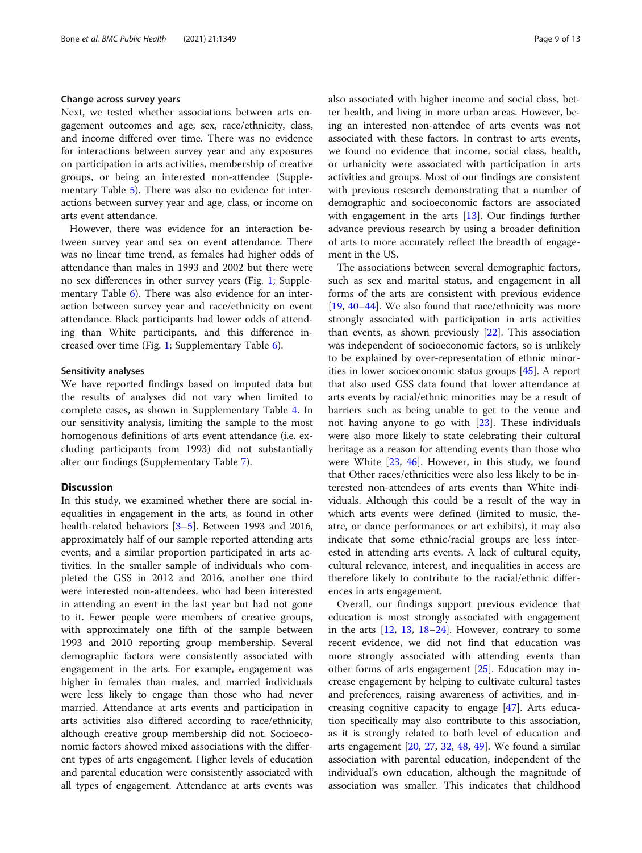#### Change across survey years

Next, we tested whether associations between arts engagement outcomes and age, sex, race/ethnicity, class, and income differed over time. There was no evidence for interactions between survey year and any exposures on participation in arts activities, membership of creative groups, or being an interested non-attendee (Supplementary Table [5](#page-10-0)). There was also no evidence for interactions between survey year and age, class, or income on arts event attendance.

However, there was evidence for an interaction between survey year and sex on event attendance. There was no linear time trend, as females had higher odds of attendance than males in 1993 and 2002 but there were no sex differences in other survey years (Fig. [1](#page-7-0); Supplementary Table [6](#page-10-0)). There was also evidence for an interaction between survey year and race/ethnicity on event attendance. Black participants had lower odds of attending than White participants, and this difference increased over time (Fig. [1](#page-7-0); Supplementary Table [6\)](#page-10-0).

#### Sensitivity analyses

We have reported findings based on imputed data but the results of analyses did not vary when limited to complete cases, as shown in Supplementary Table [4.](#page-10-0) In our sensitivity analysis, limiting the sample to the most homogenous definitions of arts event attendance (i.e. excluding participants from 1993) did not substantially alter our findings (Supplementary Table [7\)](#page-10-0).

#### **Discussion**

In this study, we examined whether there are social inequalities in engagement in the arts, as found in other health-related behaviors [\[3](#page-11-0)–[5\]](#page-11-0). Between 1993 and 2016, approximately half of our sample reported attending arts events, and a similar proportion participated in arts activities. In the smaller sample of individuals who completed the GSS in 2012 and 2016, another one third were interested non-attendees, who had been interested in attending an event in the last year but had not gone to it. Fewer people were members of creative groups, with approximately one fifth of the sample between 1993 and 2010 reporting group membership. Several demographic factors were consistently associated with engagement in the arts. For example, engagement was higher in females than males, and married individuals were less likely to engage than those who had never married. Attendance at arts events and participation in arts activities also differed according to race/ethnicity, although creative group membership did not. Socioeconomic factors showed mixed associations with the different types of arts engagement. Higher levels of education and parental education were consistently associated with all types of engagement. Attendance at arts events was also associated with higher income and social class, better health, and living in more urban areas. However, being an interested non-attendee of arts events was not associated with these factors. In contrast to arts events, we found no evidence that income, social class, health, or urbanicity were associated with participation in arts activities and groups. Most of our findings are consistent with previous research demonstrating that a number of demographic and socioeconomic factors are associated with engagement in the arts [[13\]](#page-11-0). Our findings further advance previous research by using a broader definition of arts to more accurately reflect the breadth of engagement in the US.

The associations between several demographic factors, such as sex and marital status, and engagement in all forms of the arts are consistent with previous evidence [[19,](#page-11-0) [40](#page-11-0)–[44\]](#page-12-0). We also found that race/ethnicity was more strongly associated with participation in arts activities than events, as shown previously [[22\]](#page-11-0). This association was independent of socioeconomic factors, so is unlikely to be explained by over-representation of ethnic minorities in lower socioeconomic status groups [\[45\]](#page-12-0). A report that also used GSS data found that lower attendance at arts events by racial/ethnic minorities may be a result of barriers such as being unable to get to the venue and not having anyone to go with [[23](#page-11-0)]. These individuals were also more likely to state celebrating their cultural heritage as a reason for attending events than those who were White [\[23,](#page-11-0) [46](#page-12-0)]. However, in this study, we found that Other races/ethnicities were also less likely to be interested non-attendees of arts events than White individuals. Although this could be a result of the way in which arts events were defined (limited to music, theatre, or dance performances or art exhibits), it may also indicate that some ethnic/racial groups are less interested in attending arts events. A lack of cultural equity, cultural relevance, interest, and inequalities in access are therefore likely to contribute to the racial/ethnic differences in arts engagement.

Overall, our findings support previous evidence that education is most strongly associated with engagement in the arts  $[12, 13, 18-24]$  $[12, 13, 18-24]$  $[12, 13, 18-24]$  $[12, 13, 18-24]$  $[12, 13, 18-24]$  $[12, 13, 18-24]$  $[12, 13, 18-24]$  $[12, 13, 18-24]$ . However, contrary to some recent evidence, we did not find that education was more strongly associated with attending events than other forms of arts engagement [\[25\]](#page-11-0). Education may increase engagement by helping to cultivate cultural tastes and preferences, raising awareness of activities, and increasing cognitive capacity to engage [[47](#page-12-0)]. Arts education specifically may also contribute to this association, as it is strongly related to both level of education and arts engagement  $[20, 27, 32, 48, 49]$  $[20, 27, 32, 48, 49]$  $[20, 27, 32, 48, 49]$  $[20, 27, 32, 48, 49]$  $[20, 27, 32, 48, 49]$  $[20, 27, 32, 48, 49]$  $[20, 27, 32, 48, 49]$  $[20, 27, 32, 48, 49]$  $[20, 27, 32, 48, 49]$  $[20, 27, 32, 48, 49]$ . We found a similar association with parental education, independent of the individual's own education, although the magnitude of association was smaller. This indicates that childhood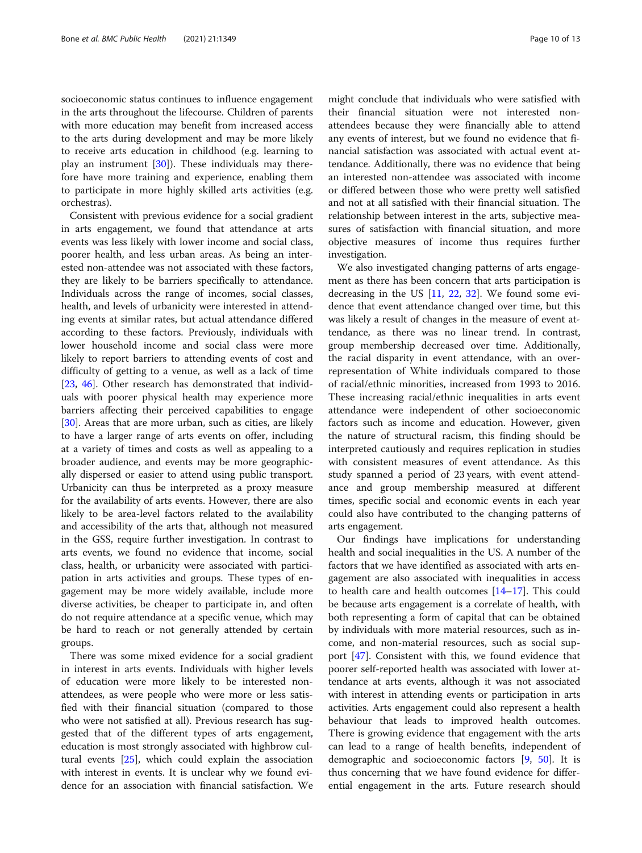socioeconomic status continues to influence engagement in the arts throughout the lifecourse. Children of parents with more education may benefit from increased access to the arts during development and may be more likely to receive arts education in childhood (e.g. learning to play an instrument [[30](#page-11-0)]). These individuals may therefore have more training and experience, enabling them to participate in more highly skilled arts activities (e.g. orchestras).

Consistent with previous evidence for a social gradient in arts engagement, we found that attendance at arts events was less likely with lower income and social class, poorer health, and less urban areas. As being an interested non-attendee was not associated with these factors, they are likely to be barriers specifically to attendance. Individuals across the range of incomes, social classes, health, and levels of urbanicity were interested in attending events at similar rates, but actual attendance differed according to these factors. Previously, individuals with lower household income and social class were more likely to report barriers to attending events of cost and difficulty of getting to a venue, as well as a lack of time [[23,](#page-11-0) [46\]](#page-12-0). Other research has demonstrated that individuals with poorer physical health may experience more barriers affecting their perceived capabilities to engage [[30\]](#page-11-0). Areas that are more urban, such as cities, are likely to have a larger range of arts events on offer, including at a variety of times and costs as well as appealing to a broader audience, and events may be more geographically dispersed or easier to attend using public transport. Urbanicity can thus be interpreted as a proxy measure for the availability of arts events. However, there are also likely to be area-level factors related to the availability and accessibility of the arts that, although not measured in the GSS, require further investigation. In contrast to arts events, we found no evidence that income, social class, health, or urbanicity were associated with participation in arts activities and groups. These types of engagement may be more widely available, include more diverse activities, be cheaper to participate in, and often do not require attendance at a specific venue, which may be hard to reach or not generally attended by certain groups.

There was some mixed evidence for a social gradient in interest in arts events. Individuals with higher levels of education were more likely to be interested nonattendees, as were people who were more or less satisfied with their financial situation (compared to those who were not satisfied at all). Previous research has suggested that of the different types of arts engagement, education is most strongly associated with highbrow cultural events [\[25](#page-11-0)], which could explain the association with interest in events. It is unclear why we found evidence for an association with financial satisfaction. We

might conclude that individuals who were satisfied with their financial situation were not interested nonattendees because they were financially able to attend any events of interest, but we found no evidence that financial satisfaction was associated with actual event attendance. Additionally, there was no evidence that being an interested non-attendee was associated with income or differed between those who were pretty well satisfied and not at all satisfied with their financial situation. The relationship between interest in the arts, subjective measures of satisfaction with financial situation, and more objective measures of income thus requires further investigation.

We also investigated changing patterns of arts engagement as there has been concern that arts participation is decreasing in the US [\[11](#page-11-0), [22](#page-11-0), [32](#page-11-0)]. We found some evidence that event attendance changed over time, but this was likely a result of changes in the measure of event attendance, as there was no linear trend. In contrast, group membership decreased over time. Additionally, the racial disparity in event attendance, with an overrepresentation of White individuals compared to those of racial/ethnic minorities, increased from 1993 to 2016. These increasing racial/ethnic inequalities in arts event attendance were independent of other socioeconomic factors such as income and education. However, given the nature of structural racism, this finding should be interpreted cautiously and requires replication in studies with consistent measures of event attendance. As this study spanned a period of 23 years, with event attendance and group membership measured at different times, specific social and economic events in each year could also have contributed to the changing patterns of arts engagement.

Our findings have implications for understanding health and social inequalities in the US. A number of the factors that we have identified as associated with arts engagement are also associated with inequalities in access to health care and health outcomes [[14](#page-11-0)–[17](#page-11-0)]. This could be because arts engagement is a correlate of health, with both representing a form of capital that can be obtained by individuals with more material resources, such as income, and non-material resources, such as social support [\[47](#page-12-0)]. Consistent with this, we found evidence that poorer self-reported health was associated with lower attendance at arts events, although it was not associated with interest in attending events or participation in arts activities. Arts engagement could also represent a health behaviour that leads to improved health outcomes. There is growing evidence that engagement with the arts can lead to a range of health benefits, independent of demographic and socioeconomic factors [[9,](#page-11-0) [50](#page-12-0)]. It is thus concerning that we have found evidence for differential engagement in the arts. Future research should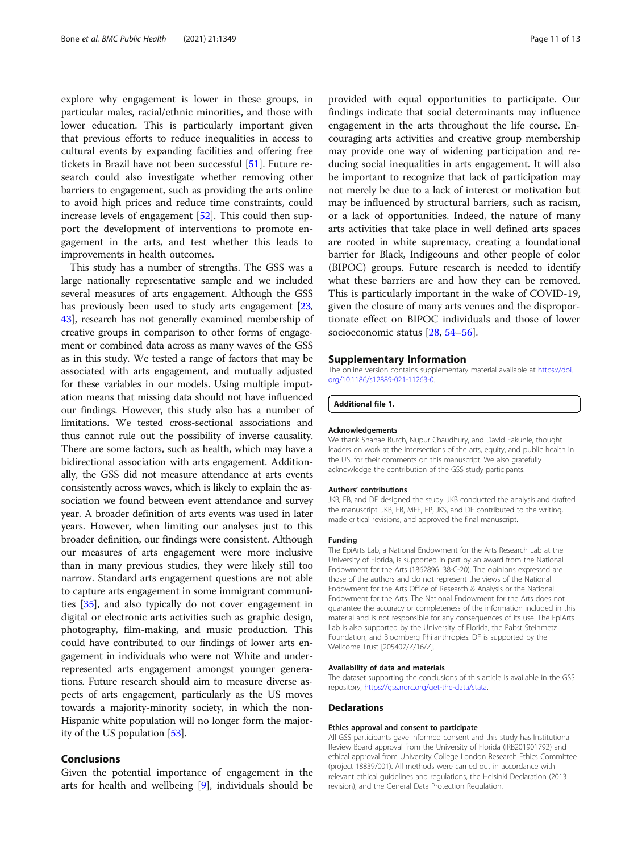<span id="page-10-0"></span>explore why engagement is lower in these groups, in particular males, racial/ethnic minorities, and those with lower education. This is particularly important given that previous efforts to reduce inequalities in access to cultural events by expanding facilities and offering free tickets in Brazil have not been successful [[51\]](#page-12-0). Future research could also investigate whether removing other barriers to engagement, such as providing the arts online to avoid high prices and reduce time constraints, could increase levels of engagement [\[52](#page-12-0)]. This could then support the development of interventions to promote engagement in the arts, and test whether this leads to improvements in health outcomes.

This study has a number of strengths. The GSS was a large nationally representative sample and we included several measures of arts engagement. Although the GSS has previously been used to study arts engagement [[23](#page-11-0), [43](#page-12-0)], research has not generally examined membership of creative groups in comparison to other forms of engagement or combined data across as many waves of the GSS as in this study. We tested a range of factors that may be associated with arts engagement, and mutually adjusted for these variables in our models. Using multiple imputation means that missing data should not have influenced our findings. However, this study also has a number of limitations. We tested cross-sectional associations and thus cannot rule out the possibility of inverse causality. There are some factors, such as health, which may have a bidirectional association with arts engagement. Additionally, the GSS did not measure attendance at arts events consistently across waves, which is likely to explain the association we found between event attendance and survey year. A broader definition of arts events was used in later years. However, when limiting our analyses just to this broader definition, our findings were consistent. Although our measures of arts engagement were more inclusive than in many previous studies, they were likely still too narrow. Standard arts engagement questions are not able to capture arts engagement in some immigrant communities [[35](#page-11-0)], and also typically do not cover engagement in digital or electronic arts activities such as graphic design, photography, film-making, and music production. This could have contributed to our findings of lower arts engagement in individuals who were not White and underrepresented arts engagement amongst younger generations. Future research should aim to measure diverse aspects of arts engagement, particularly as the US moves towards a majority-minority society, in which the non-Hispanic white population will no longer form the majority of the US population [\[53](#page-12-0)].

#### Conclusions

Given the potential importance of engagement in the arts for health and wellbeing [[9\]](#page-11-0), individuals should be

provided with equal opportunities to participate. Our findings indicate that social determinants may influence engagement in the arts throughout the life course. Encouraging arts activities and creative group membership may provide one way of widening participation and reducing social inequalities in arts engagement. It will also be important to recognize that lack of participation may not merely be due to a lack of interest or motivation but may be influenced by structural barriers, such as racism, or a lack of opportunities. Indeed, the nature of many arts activities that take place in well defined arts spaces are rooted in white supremacy, creating a foundational barrier for Black, Indigeouns and other people of color (BIPOC) groups. Future research is needed to identify what these barriers are and how they can be removed. This is particularly important in the wake of COVID-19, given the closure of many arts venues and the disproportionate effect on BIPOC individuals and those of lower socioeconomic status [[28,](#page-11-0) [54](#page-12-0)–[56](#page-12-0)].

#### Supplementary Information

The online version contains supplementary material available at [https://doi.](https://doi.org/10.1186/s12889-021-11263-0) [org/10.1186/s12889-021-11263-0.](https://doi.org/10.1186/s12889-021-11263-0)

#### Additional file 1.

#### Acknowledgements

We thank Shanae Burch, Nupur Chaudhury, and David Fakunle, thought leaders on work at the intersections of the arts, equity, and public health in the US, for their comments on this manuscript. We also gratefully acknowledge the contribution of the GSS study participants.

#### Authors' contributions

JKB, FB, and DF designed the study. JKB conducted the analysis and drafted the manuscript. JKB, FB, MEF, EP, JKS, and DF contributed to the writing, made critical revisions, and approved the final manuscript.

#### Funding

The EpiArts Lab, a National Endowment for the Arts Research Lab at the University of Florida, is supported in part by an award from the National Endowment for the Arts (1862896–38-C-20). The opinions expressed are those of the authors and do not represent the views of the National Endowment for the Arts Office of Research & Analysis or the National Endowment for the Arts. The National Endowment for the Arts does not guarantee the accuracy or completeness of the information included in this material and is not responsible for any consequences of its use. The EpiArts Lab is also supported by the University of Florida, the Pabst Steinmetz Foundation, and Bloomberg Philanthropies. DF is supported by the Wellcome Trust [205407/Z/16/Z].

#### Availability of data and materials

The dataset supporting the conclusions of this article is available in the GSS repository, [https://gss.norc.org/get-the-data/stata.](https://gss.norc.org/get-the-data/stata)

#### Declarations

#### Ethics approval and consent to participate

All GSS participants gave informed consent and this study has Institutional Review Board approval from the University of Florida (IRB201901792) and ethical approval from University College London Research Ethics Committee (project 18839/001). All methods were carried out in accordance with relevant ethical guidelines and regulations, the Helsinki Declaration (2013 revision), and the General Data Protection Regulation.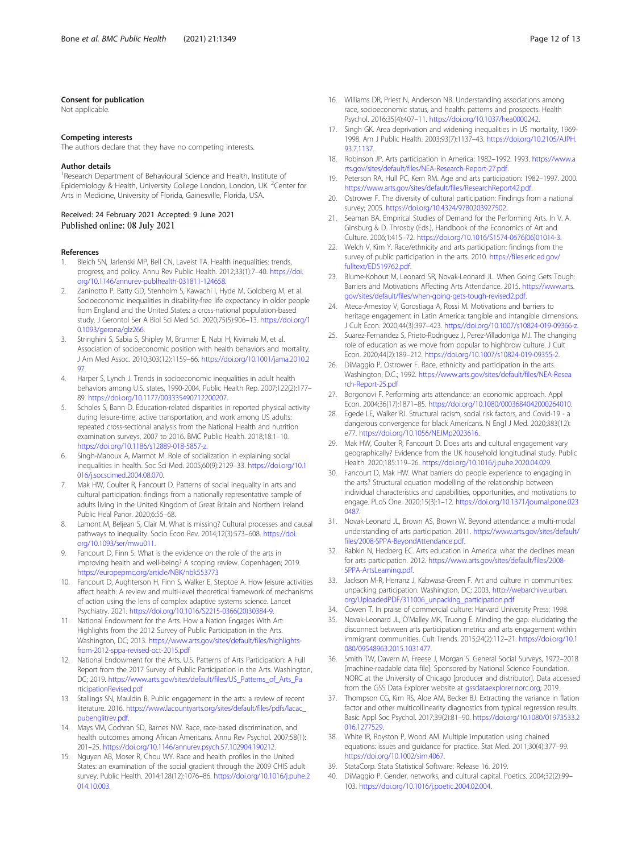#### <span id="page-11-0"></span>Consent for publication

Not applicable.

#### Competing interests

The authors declare that they have no competing interests.

#### Author details

<sup>1</sup> Research Department of Behavioural Science and Health, Institute of Epidemiology & Health, University College London, London, UK. <sup>2</sup>Center for Arts in Medicine, University of Florida, Gainesville, Florida, USA.

#### Received: 24 February 2021 Accepted: 9 June 2021 Published online: 08 July 2021

#### References

- 1. Bleich SN, Jarlenski MP, Bell CN, Laveist TA. Health inequalities: trends, progress, and policy. Annu Rev Public Health. 2012;33(1):7–40. [https://doi.](https://doi.org/10.1146/annurev-publhealth-031811-124658) [org/10.1146/annurev-publhealth-031811-124658](https://doi.org/10.1146/annurev-publhealth-031811-124658).
- 2. Zaninotto P, Batty GD, Stenholm S, Kawachi I, Hyde M, Goldberg M, et al. Socioeconomic inequalities in disability-free life expectancy in older people from England and the United States: a cross-national population-based study. J Gerontol Ser A Biol Sci Med Sci. 2020;75(5):906–13. [https://doi.org/1](https://doi.org/10.1093/gerona/glz266) [0.1093/gerona/glz266](https://doi.org/10.1093/gerona/glz266).
- 3. Stringhini S, Sabia S, Shipley M, Brunner E, Nabi H, Kivimaki M, et al. Association of socioeconomic position with health behaviors and mortality. J Am Med Assoc. 2010;303(12):1159–66. [https://doi.org/10.1001/jama.2010.2](https://doi.org/10.1001/jama.2010.297) [97.](https://doi.org/10.1001/jama.2010.297)
- 4. Harper S, Lynch J. Trends in socioeconomic inequalities in adult health behaviors among U.S. states, 1990-2004. Public Health Rep. 2007;122(2):177– 89. [https://doi.org/10.1177/003335490712200207.](https://doi.org/10.1177/003335490712200207)
- 5. Scholes S, Bann D. Education-related disparities in reported physical activity during leisure-time, active transportation, and work among US adults: repeated cross-sectional analysis from the National Health and nutrition examination surveys, 2007 to 2016. BMC Public Health. 2018;18:1–10. [https://doi.org/10.1186/s12889-018-5857-z.](https://doi.org/10.1186/s12889-018-5857-z)
- 6. Singh-Manoux A, Marmot M. Role of socialization in explaining social inequalities in health. Soc Sci Med. 2005;60(9):2129–33. [https://doi.org/10.1](https://doi.org/10.1016/j.socscimed.2004.08.070) [016/j.socscimed.2004.08.070](https://doi.org/10.1016/j.socscimed.2004.08.070).
- 7. Mak HW, Coulter R, Fancourt D. Patterns of social inequality in arts and cultural participation: findings from a nationally representative sample of adults living in the United Kingdom of Great Britain and Northern Ireland. Public Heal Panor. 2020;6:55–68.
- 8. Lamont M, Beljean S, Clair M. What is missing? Cultural processes and causal pathways to inequality. Socio Econ Rev. 2014;12(3):573–608. [https://doi.](https://doi.org/10.1093/ser/mwu011) [org/10.1093/ser/mwu011](https://doi.org/10.1093/ser/mwu011).
- Fancourt D, Finn S. What is the evidence on the role of the arts in improving health and well-being? A scoping review. Copenhagen; 2019. <https://europepmc.org/article/NBK/nbk553773>
- 10. Fancourt D, Aughterson H, Finn S, Walker E, Steptoe A. How leisure activities affect health: A review and multi-level theoretical framework of mechanisms of action using the lens of complex adaptive systems science. Lancet Psychiatry. 2021. [https://doi.org/10.1016/S2215-0366\(20\)30384-9](https://doi.org/10.1016/S2215-0366(20)30384-9).
- 11. National Endowment for the Arts. How a Nation Engages With Art: Highlights from the 2012 Survey of Public Participation in the Arts. Washington, DC; 2013. [https://www.arts.gov/sites/default/files/highlights](https://www.arts.gov/sites/default/files/highlights-from-2012-sppa-revised-oct-2015.pdf)[from-2012-sppa-revised-oct-2015.pdf](https://www.arts.gov/sites/default/files/highlights-from-2012-sppa-revised-oct-2015.pdf)
- 12. National Endowment for the Arts. U.S. Patterns of Arts Participation: A Full Report from the 2017 Survey of Public Participation in the Arts. Washington, DC; 2019. [https://www.arts.gov/sites/default/files/US\\_Patterns\\_of\\_Arts\\_Pa](https://www.arts.gov/sites/default/files/US_Patterns_of_Arts_ParticipationRevised.pdf) [rticipationRevised.pdf](https://www.arts.gov/sites/default/files/US_Patterns_of_Arts_ParticipationRevised.pdf)
- 13. Stallings SN, Mauldin B. Public engagement in the arts: a review of recent literature. 2016. [https://www.lacountyarts.org/sites/default/files/pdfs/lacac\\_](https://www.lacountyarts.org/sites/default/files/pdfs/lacac_pubenglitrev.pdf) [pubenglitrev.pdf.](https://www.lacountyarts.org/sites/default/files/pdfs/lacac_pubenglitrev.pdf)
- 14. Mays VM, Cochran SD, Barnes NW. Race, race-based discrimination, and health outcomes among African Americans. Annu Rev Psychol. 2007;58(1): 201–25. <https://doi.org/10.1146/annurev.psych.57.102904.190212>.
- 15. Nguyen AB, Moser R, Chou WY. Race and health profiles in the United States: an examination of the social gradient through the 2009 CHIS adult survey. Public Health. 2014;128(12):1076–86. [https://doi.org/10.1016/j.puhe.2](https://doi.org/10.1016/j.puhe.2014.10.003) [014.10.003](https://doi.org/10.1016/j.puhe.2014.10.003).
- 
- 16. Williams DR, Priest N, Anderson NB. Understanding associations among race, socioeconomic status, and health: patterns and prospects. Health Psychol. 2016;35(4):407–11. [https://doi.org/10.1037/hea0000242.](https://doi.org/10.1037/hea0000242)
- 17. Singh GK. Area deprivation and widening inequalities in US mortality, 1969- 1998. Am J Public Health. 2003;93(7):1137–43. [https://doi.org/10.2105/AJPH.](https://doi.org/10.2105/AJPH.93.7.1137) [93.7.1137.](https://doi.org/10.2105/AJPH.93.7.1137)
- 18. Robinson JP. Arts participation in America: 1982–1992. 1993. [https://www.a](https://www.arts.gov/sites/default/files/NEA-Research-Report-27.pdf) [rts.gov/sites/default/files/NEA-Research-Report-27.pdf.](https://www.arts.gov/sites/default/files/NEA-Research-Report-27.pdf)
- 19. Peterson RA, Hull PC, Kern RM. Age and arts participation: 1982–1997. 2000. <https://www.arts.gov/sites/default/files/ResearchReport42.pdf>.
- 20. Ostrower F. The diversity of cultural participation: Findings from a national survey; 2005. [https://doi.org/10.4324/9780203927502.](https://doi.org/10.4324/9780203927502)
- 21. Seaman BA. Empirical Studies of Demand for the Performing Arts. In V. A. Ginsburg & D. Throsby (Eds.), Handbook of the Economics of Art and Culture. 2006;1:415–72. [https://doi.org/10.1016/S1574-0676\(06\)01014-3.](https://doi.org/10.1016/S1574-0676(06)01014-3)
- 22. Welch V, Kim Y. Race/ethnicity and arts participation: findings from the survey of public participation in the arts. 2010. [https://files.eric.ed.gov/](https://files.eric.ed.gov/fulltext/ED519762.pdf) [fulltext/ED519762.pdf.](https://files.eric.ed.gov/fulltext/ED519762.pdf)
- 23. Blume-Kohout M, Leonard SR, Novak-Leonard JL. When Going Gets Tough: Barriers and Motivations Affecting Arts Attendance. 2015. [https://www.arts.](https://www.arts.gov/sites/default/files/when-going-gets-tough-revised2.pdf) [gov/sites/default/files/when-going-gets-tough-revised2.pdf.](https://www.arts.gov/sites/default/files/when-going-gets-tough-revised2.pdf)
- 24. Ateca-Amestoy V, Gorostiaga A, Rossi M. Motivations and barriers to heritage engagement in Latin America: tangible and intangible dimensions. J Cult Econ. 2020;44(3):397–423. [https://doi.org/10.1007/s10824-019-09366-z.](https://doi.org/10.1007/s10824-019-09366-z)
- 25. Suarez-Fernandez S, Prieto-Rodriguez J, Perez-Villadoniga MJ. The changing role of education as we move from popular to highbrow culture. J Cult Econ. 2020;44(2):189–212. <https://doi.org/10.1007/s10824-019-09355-2>.
- 26. DiMaggio P, Ostrower F. Race, ethnicity and participation in the arts. Washington, D.C.; 1992. [https://www.arts.gov/sites/default/files/NEA-Resea](https://www.arts.gov/sites/default/files/NEA-Research-Report-25.pdf) [rch-Report-25.pdf](https://www.arts.gov/sites/default/files/NEA-Research-Report-25.pdf)
- 27. Borgonovi F. Performing arts attendance: an economic approach. Appl Econ. 2004;36(17):1871–85. [https://doi.org/10.1080/0003684042000264010.](https://doi.org/10.1080/0003684042000264010)
- 28. Egede LE, Walker RJ. Structural racism, social risk factors, and Covid-19 a dangerous convergence for black Americans. N Engl J Med. 2020;383(12): e77. [https://doi.org/10.1056/NEJMp2023616.](https://doi.org/10.1056/NEJMp2023616)
- 29. Mak HW, Coulter R, Fancourt D. Does arts and cultural engagement vary geographically? Evidence from the UK household longitudinal study. Public Health. 2020;185:119–26. [https://doi.org/10.1016/j.puhe.2020.04.029.](https://doi.org/10.1016/j.puhe.2020.04.029)
- 30. Fancourt D, Mak HW. What barriers do people experience to engaging in the arts? Structural equation modelling of the relationship between individual characteristics and capabilities, opportunities, and motivations to engage. PLoS One. 2020;15(3):1–12. [https://doi.org/10.1371/journal.pone.023](https://doi.org/10.1371/journal.pone.0230487) [0487](https://doi.org/10.1371/journal.pone.0230487).
- 31. Novak-Leonard JL, Brown AS, Brown W. Beyond attendance: a multi-modal understanding of arts participation. 2011. [https://www.arts.gov/sites/default/](https://www.arts.gov/sites/default/files/2008-SPPA-BeyondAttendance.pdf) [files/2008-SPPA-BeyondAttendance.pdf.](https://www.arts.gov/sites/default/files/2008-SPPA-BeyondAttendance.pdf)
- 32. Rabkin N, Hedberg EC. Arts education in America: what the declines mean for arts participation. 2012. [https://www.arts.gov/sites/default/files/2008-](https://www.arts.gov/sites/default/files/2008-SPPA-ArtsLearning.pdf) [SPPA-ArtsLearning.pdf.](https://www.arts.gov/sites/default/files/2008-SPPA-ArtsLearning.pdf)
- 33. Jackson M-R, Herranz J, Kabwasa-Green F. Art and culture in communities: unpacking participation. Washington, DC; 2003. [http://webarchive.urban.](http://webarchive.urban.org/UploadedPDF/311006_unpacking_participation.pdf) [org/UploadedPDF/311006\\_unpacking\\_participation.pdf](http://webarchive.urban.org/UploadedPDF/311006_unpacking_participation.pdf)
- 34. Cowen T. In praise of commercial culture: Harvard University Press; 1998.
- 35. Novak-Leonard JL, O'Malley MK, Truong E. Minding the gap: elucidating the disconnect between arts participation metrics and arts engagement within immigrant communities. Cult Trends. 2015;24(2):112–21. [https://doi.org/10.1](https://doi.org/10.1080/09548963.2015.1031477) [080/09548963.2015.1031477.](https://doi.org/10.1080/09548963.2015.1031477)
- 36. Smith TW, Davern M, Freese J, Morgan S. General Social Surveys, 1972–2018 [machine-readable data file]: Sponsored by National Science Foundation. NORC at the University of Chicago [producer and distributor]. Data accessed from the GSS Data Explorer website at [gssdataexplorer.norc.org](http://gssdataexplorer.norc.org); 2019.
- 37. Thompson CG, Kim RS, Aloe AM, Becker BJ. Extracting the variance in flation factor and other multicollinearity diagnostics from typical regression results. Basic Appl Soc Psychol. 2017;39(2):81–90. [https://doi.org/10.1080/01973533.2](https://doi.org/10.1080/01973533.2016.1277529) [016.1277529](https://doi.org/10.1080/01973533.2016.1277529).
- 38. White IR, Royston P, Wood AM. Multiple imputation using chained equations: issues and guidance for practice. Stat Med. 2011;30(4):377–99. [https://doi.org/10.1002/sim.4067.](https://doi.org/10.1002/sim.4067)
- 39. StataCorp. Stata Statistical Software: Release 16. 2019.
- 40. DiMaggio P. Gender, networks, and cultural capital. Poetics. 2004;32(2):99– 103. <https://doi.org/10.1016/j.poetic.2004.02.004>.